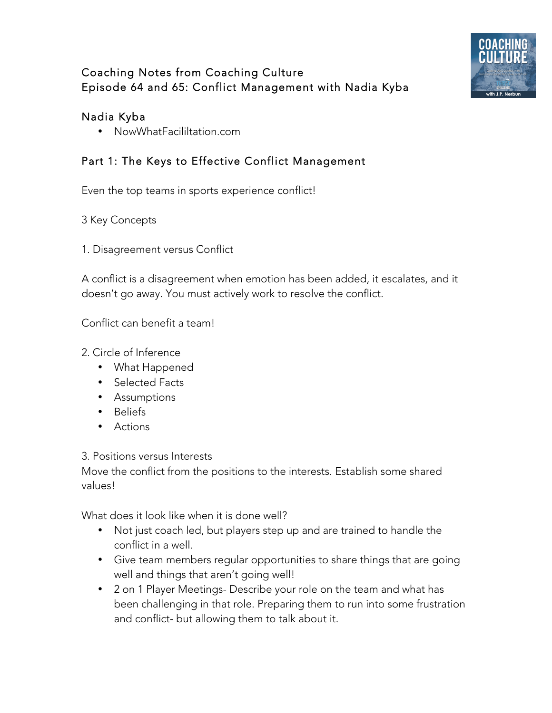

# Coaching Notes from Coaching Culture Episode 64 and 65: Conflict Management with Nadia Kyba

### Nadia Kyba

• NowWhatFacililtation.com

## Part 1: The Keys to Effective Conflict Management

Even the top teams in sports experience conflict!

- 3 Key Concepts
- 1. Disagreement versus Conflict

A conflict is a disagreement when emotion has been added, it escalates, and it doesn't go away. You must actively work to resolve the conflict.

Conflict can benefit a team!

- 2. Circle of Inference
	- What Happened
	- Selected Facts
	- Assumptions
	- Beliefs
	- Actions

#### 3. Positions versus Interests

Move the conflict from the positions to the interests. Establish some shared values!

What does it look like when it is done well?

- Not just coach led, but players step up and are trained to handle the conflict in a well.
- Give team members regular opportunities to share things that are going well and things that aren't going well!
- 2 on 1 Player Meetings- Describe your role on the team and what has been challenging in that role. Preparing them to run into some frustration and conflict- but allowing them to talk about it.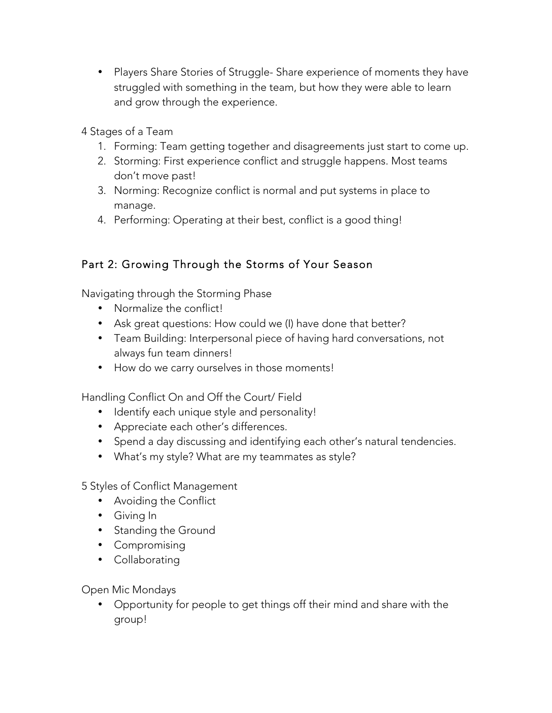- Players Share Stories of Struggle- Share experience of moments they have struggled with something in the team, but how they were able to learn and grow through the experience.
- 4 Stages of a Team
	- 1. Forming: Team getting together and disagreements just start to come up.
	- 2. Storming: First experience conflict and struggle happens. Most teams don't move past!
	- 3. Norming: Recognize conflict is normal and put systems in place to manage.
	- 4. Performing: Operating at their best, conflict is a good thing!

## Part 2: Growing Through the Storms of Your Season

Navigating through the Storming Phase

- Normalize the conflict!
- Ask great questions: How could we (I) have done that better?
- Team Building: Interpersonal piece of having hard conversations, not always fun team dinners!
- How do we carry ourselves in those moments!

Handling Conflict On and Off the Court/ Field

- Identify each unique style and personality!
- Appreciate each other's differences.
- Spend a day discussing and identifying each other's natural tendencies.
- What's my style? What are my teammates as style?

5 Styles of Conflict Management

- Avoiding the Conflict
- Giving In
- Standing the Ground
- Compromising
- Collaborating

Open Mic Mondays

• Opportunity for people to get things off their mind and share with the group!